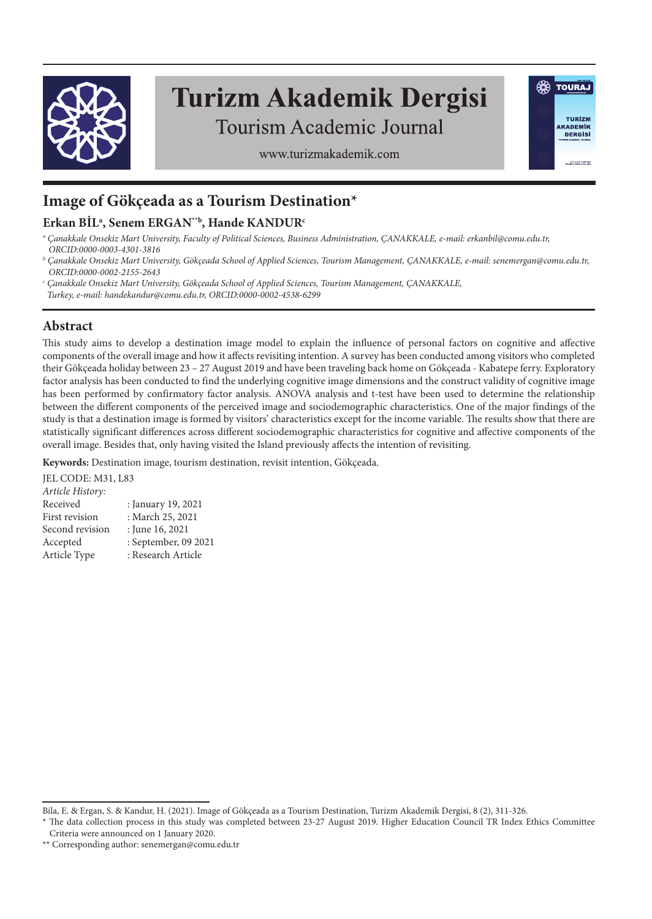

# **Turizm Akademik Dergisi**

**SO TOURAJ** 

TURÍZM

**AKADEMIK DERGISI** 

Tourism Academic Journal

www.turizmakademik.com

## **Image of Gökçeada as a Tourism Destination\***

## **Erkan BİLa , Senem ERGAN\*\*b, Hande KANDURc**

*a Çanakkale Onsekiz Mart University, Faculty of Political Sciences, Business Administration, ÇANAKKALE, e-mail: erkanbil@comu.edu.tr, ORCID:0000-0003-4301-3816*

- *b Çanakkale Onsekiz Mart University, Gökçeada School of Applied Sciences, Tourism Management, ÇANAKKALE, e-mail: senemergan@comu.edu.tr, ORCID:0000-0002-2155-2643*
- *c Çanakkale Onsekiz Mart University, Gökçeada School of Applied Sciences, Tourism Management, ÇANAKKALE,*
- *Turkey, e-mail: handekandur@comu.edu.tr, ORCID:0000-0002-4538-6299*

## **Abstract**

This study aims to develop a destination image model to explain the influence of personal factors on cognitive and affective components of the overall image and how it affects revisiting intention. A survey has been conducted among visitors who completed their Gökçeada holiday between 23 – 27 August 2019 and have been traveling back home on Gökçeada - Kabatepe ferry. Exploratory factor analysis has been conducted to find the underlying cognitive image dimensions and the construct validity of cognitive image has been performed by confirmatory factor analysis. ANOVA analysis and t-test have been used to determine the relationship between the different components of the perceived image and sociodemographic characteristics. One of the major findings of the study is that a destination image is formed by visitors' characteristics except for the income variable. The results show that there are statistically significant differences across different sociodemographic characteristics for cognitive and affective components of the overall image. Besides that, only having visited the Island previously affects the intention of revisiting.

**Keywords:** Destination image, tourism destination, revisit intention, Gökçeada.

JEL CODE: M31, L83 *Article History:* : January 19, 2021 First revision : March 25, 2021 Second revision : June 16, 2021 Accepted : September, 09 2021 Article Type : Research Article

Bila, E. & Ergan, S. & Kandur, H. (2021). Image of Gökçeada as a Tourism Destination, Turizm Akademik Dergisi, 8 (2), 311-326.

<sup>\*</sup> The data collection process in this study was completed between 23-27 August 2019. Higher Education Council TR Index Ethics Committee Criteria were announced on 1 January 2020.

<sup>\*\*</sup> Corresponding author: senemergan@comu.edu.tr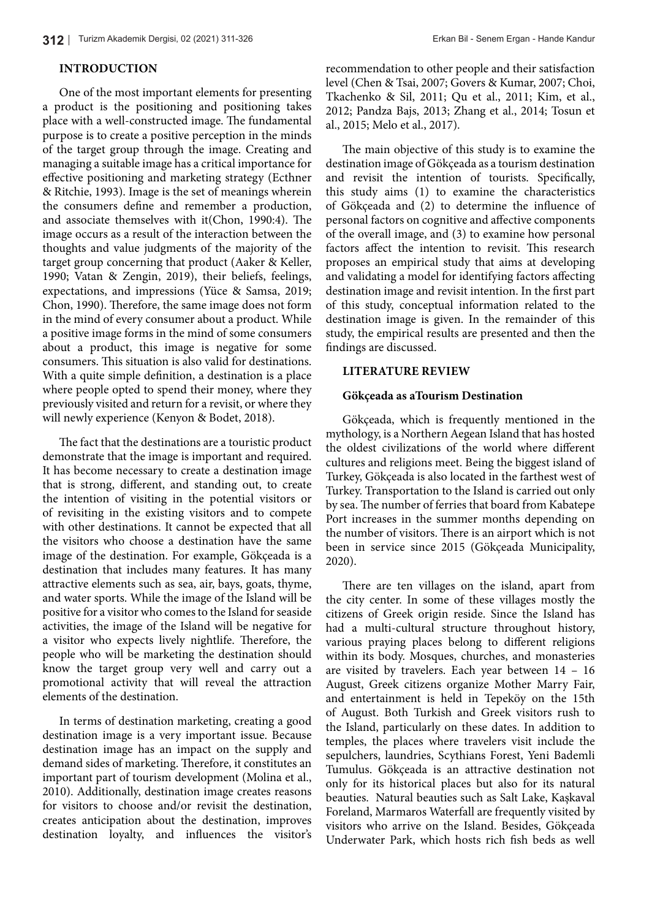### **INTRODUCTION**

One of the most important elements for presenting a product is the positioning and positioning takes place with a well-constructed image. The fundamental purpose is to create a positive perception in the minds of the target group through the image. Creating and managing a suitable image has a critical importance for effective positioning and marketing strategy (Ecthner & Ritchie, 1993). Image is the set of meanings wherein the consumers define and remember a production, and associate themselves with it(Chon, 1990:4). The image occurs as a result of the interaction between the thoughts and value judgments of the majority of the target group concerning that product (Aaker & Keller, 1990; Vatan & Zengin, 2019), their beliefs, feelings, expectations, and impressions (Yüce & Samsa, 2019; Chon, 1990). Therefore, the same image does not form in the mind of every consumer about a product. While a positive image forms in the mind of some consumers about a product, this image is negative for some consumers. This situation is also valid for destinations. With a quite simple definition, a destination is a place where people opted to spend their money, where they previously visited and return for a revisit, or where they will newly experience (Kenyon & Bodet, 2018).

The fact that the destinations are a touristic product demonstrate that the image is important and required. It has become necessary to create a destination image that is strong, different, and standing out, to create the intention of visiting in the potential visitors or of revisiting in the existing visitors and to compete with other destinations. It cannot be expected that all the visitors who choose a destination have the same image of the destination. For example, Gökçeada is a destination that includes many features. It has many attractive elements such as sea, air, bays, goats, thyme, and water sports. While the image of the Island will be positive for a visitor who comes to the Island for seaside activities, the image of the Island will be negative for a visitor who expects lively nightlife. Therefore, the people who will be marketing the destination should know the target group very well and carry out a promotional activity that will reveal the attraction elements of the destination.

In terms of destination marketing, creating a good destination image is a very important issue. Because destination image has an impact on the supply and demand sides of marketing. Therefore, it constitutes an important part of tourism development (Molina et al., 2010). Additionally, destination image creates reasons for visitors to choose and/or revisit the destination, creates anticipation about the destination, improves destination loyalty, and influences the visitor's recommendation to other people and their satisfaction level (Chen & Tsai, 2007; Govers & Kumar, 2007; Choi, Tkachenko & Sil, 2011; Qu et al., 2011; Kim, et al., 2012; Pandza Bajs, 2013; Zhang et al., 2014; Tosun et al., 2015; Melo et al., 2017).

The main objective of this study is to examine the destination image of Gökçeada as a tourism destination and revisit the intention of tourists. Specifically, this study aims (1) to examine the characteristics of Gökçeada and (2) to determine the influence of personal factors on cognitive and affective components of the overall image, and (3) to examine how personal factors affect the intention to revisit. This research proposes an empirical study that aims at developing and validating a model for identifying factors affecting destination image and revisit intention. In the first part of this study, conceptual information related to the destination image is given. In the remainder of this study, the empirical results are presented and then the findings are discussed.

#### **LITERATURE REVIEW**

#### **Gökçeada as aTourism Destination**

Gökçeada, which is frequently mentioned in the mythology, is a Northern Aegean Island that has hosted the oldest civilizations of the world where different cultures and religions meet. Being the biggest island of Turkey, Gökçeada is also located in the farthest west of Turkey. Transportation to the Island is carried out only by sea. The number of ferries that board from Kabatepe Port increases in the summer months depending on the number of visitors. There is an airport which is not been in service since 2015 (Gökçeada Municipality, 2020).

There are ten villages on the island, apart from the city center. In some of these villages mostly the citizens of Greek origin reside. Since the Island has had a multi-cultural structure throughout history, various praying places belong to different religions within its body. Mosques, churches, and monasteries are visited by travelers. Each year between 14 – 16 August, Greek citizens organize Mother Marry Fair, and entertainment is held in Tepeköy on the 15th of August. Both Turkish and Greek visitors rush to the Island, particularly on these dates. In addition to temples, the places where travelers visit include the sepulchers, laundries, Scythians Forest, Yeni Bademli Tumulus. Gökçeada is an attractive destination not only for its historical places but also for its natural beauties. Natural beauties such as Salt Lake, Kaşkaval Foreland, Marmaros Waterfall are frequently visited by visitors who arrive on the Island. Besides, Gökçeada Underwater Park, which hosts rich fish beds as well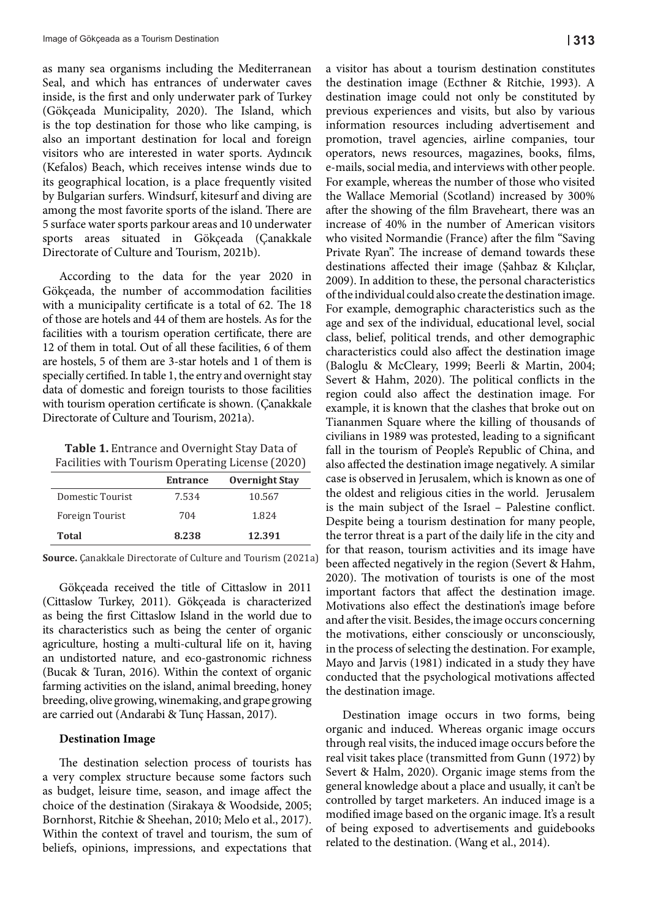as many sea organisms including the Mediterranean Seal, and which has entrances of underwater caves inside, is the first and only underwater park of Turkey (Gökçeada Municipality, 2020). The Island, which is the top destination for those who like camping, is also an important destination for local and foreign visitors who are interested in water sports. Aydıncık (Kefalos) Beach, which receives intense winds due to its geographical location, is a place frequently visited by Bulgarian surfers. Windsurf, kitesurf and diving are among the most favorite sports of the island. There are 5 surface water sports parkour areas and 10 underwater sports areas situated in Gökçeada (Çanakkale Directorate of Culture and Tourism, 2021b).

According to the data for the year 2020 in Gökçeada, the number of accommodation facilities with a municipality certificate is a total of 62. The 18 of those are hotels and 44 of them are hostels. As for the facilities with a tourism operation certificate, there are 12 of them in total. Out of all these facilities, 6 of them are hostels, 5 of them are 3-star hotels and 1 of them is specially certified. In table 1, the entry and overnight stay data of domestic and foreign tourists to those facilities with tourism operation certificate is shown. (Çanakkale Directorate of Culture and Tourism, 2021a).

**Table 1.** Entrance and Overnight Stay Data of Facilities with Tourism Operating License (2020)

|                  | <b>Entrance</b> | <b>Overnight Stay</b> |
|------------------|-----------------|-----------------------|
| Domestic Tourist | 7.534           | 10.567                |
| Foreign Tourist  | 704             | 1.824                 |
| Total            | 8.238           | 12.391                |

**Source.** Çanakkale Directorate of Culture and Tourism (2021a)

farming activities on the island, animal breeding, honey Gökçeada received the title of Cittaslow in 2011 (Cittaslow Turkey, 2011). Gökçeada is characterized as being the first Cittaslow Island in the world due to its characteristics such as being the center of organic agriculture, hosting a multi-cultural life on it, having an undistorted nature, and eco-gastronomic richness (Bucak & Turan, 2016). Within the context of organic breeding, olive growing, winemaking, and grape growing are carried out (Andarabi & Tunç Hassan, 2017).

#### **Destination Image**

Within the context of travel and tourism, the sum of a very complex structure because some factors such The destination selection process of tourists has as budget, leisure time, season, and image affect the choice of the destination (Sirakaya & Woodside, 2005; Bornhorst, Ritchie & Sheehan, 2010; Melo et al., 2017). beliefs, opinions, impressions, and expectations that

a visitor has about a tourism destination constitutes the destination image (Ecthner & Ritchie, 1993). A destination image could not only be constituted by previous experiences and visits, but also by various information resources including advertisement and promotion, travel agencies, airline companies, tour operators, news resources, magazines, books, films, e-mails, social media, and interviews with other people. For example, whereas the number of those who visited the Wallace Memorial (Scotland) increased by 300% after the showing of the film Braveheart, there was an increase of 40% in the number of American visitors who visited Normandie (France) after the film "Saving Private Ryan". The increase of demand towards these destinations affected their image (Şahbaz & Kılıçlar, 2009). In addition to these, the personal characteristics of the individual could also create the destination image. For example, demographic characteristics such as the age and sex of the individual, educational level, social class, belief, political trends, and other demographic characteristics could also affect the destination image (Baloglu & McCleary, 1999; Beerli & Martin, 2004; Severt & Hahm, 2020). The political conflicts in the region could also affect the destination image. For example, it is known that the clashes that broke out on Tiananmen Square where the killing of thousands of civilians in 1989 was protested, leading to a significant fall in the tourism of People's Republic of China, and also affected the destination image negatively. A similar case is observed in Jerusalem, which is known as one of the oldest and religious cities in the world. Jerusalem is the main subject of the Israel – Palestine conflict. Despite being a tourism destination for many people, the terror threat is a part of the daily life in the city and for that reason, tourism activities and its image have been affected negatively in the region (Severt & Hahm, 2020). The motivation of tourists is one of the most important factors that affect the destination image. Motivations also effect the destination's image before and after the visit. Besides, the image occurs concerning the motivations, either consciously or unconsciously, in the process of selecting the destination. For example, Mayo and Jarvis (1981) indicated in a study they have conducted that the psychological motivations affected the destination image.

organic and induced. Whereas organic image occurs through real visits, the induced image occurs before the Destination image occurs in two forms, being real visit takes place (transmitted from Gunn (1972) by Severt & Halm, 2020). Organic image stems from the general knowledge about a place and usually, it can't be controlled by target marketers. An induced image is a modified image based on the organic image. It's a result of being exposed to advertisements and guidebooks related to the destination. (Wang et al., 2014).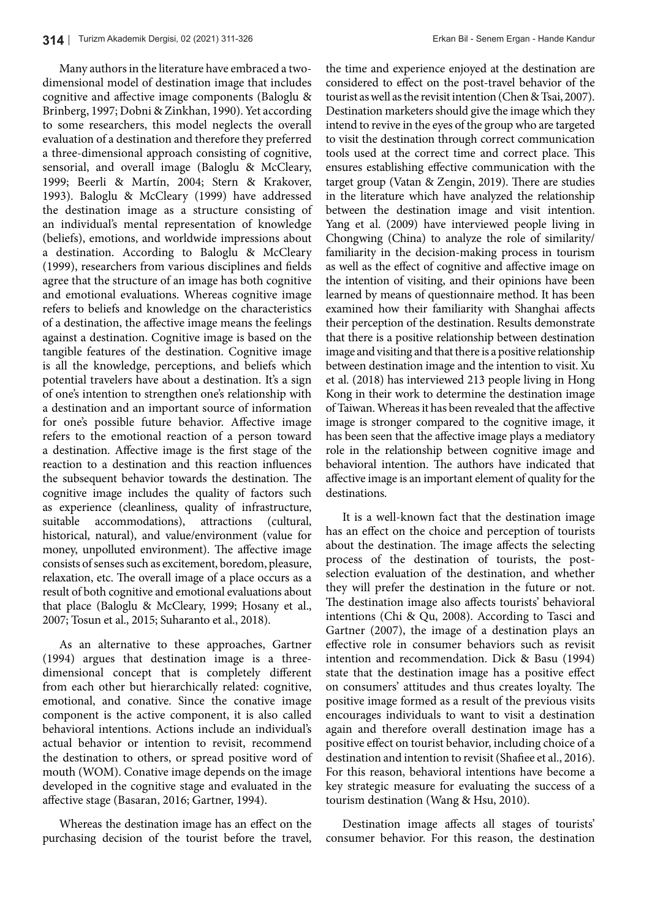Many authors in the literature have embraced a twodimensional model of destination image that includes cognitive and affective image components (Baloglu & Brinberg, 1997; Dobni & Zinkhan, 1990). Yet according to some researchers, this model neglects the overall evaluation of a destination and therefore they preferred a three-dimensional approach consisting of cognitive, sensorial, and overall image (Baloglu & McCleary, 1999; Beerli & Martín, 2004; Stern & Krakover, 1993). Baloglu & McCleary (1999) have addressed the destination image as a structure consisting of an individual's mental representation of knowledge (beliefs), emotions, and worldwide impressions about a destination. According to Baloglu & McCleary (1999), researchers from various disciplines and fields agree that the structure of an image has both cognitive and emotional evaluations. Whereas cognitive image refers to beliefs and knowledge on the characteristics of a destination, the affective image means the feelings against a destination. Cognitive image is based on the tangible features of the destination. Cognitive image is all the knowledge, perceptions, and beliefs which potential travelers have about a destination. It's a sign of one's intention to strengthen one's relationship with a destination and an important source of information for one's possible future behavior. Affective image refers to the emotional reaction of a person toward a destination. Affective image is the first stage of the reaction to a destination and this reaction influences the subsequent behavior towards the destination. The cognitive image includes the quality of factors such as experience (cleanliness, quality of infrastructure, suitable accommodations), attractions (cultural, historical, natural), and value/environment (value for money, unpolluted environment). The affective image consists of senses such as excitement, boredom, pleasure, relaxation, etc. The overall image of a place occurs as a result of both cognitive and emotional evaluations about that place (Baloglu & McCleary, 1999; Hosany et al., 2007; Tosun et al., 2015; Suharanto et al., 2018).

As an alternative to these approaches, Gartner (1994) argues that destination image is a threedimensional concept that is completely different from each other but hierarchically related: cognitive, emotional, and conative. Since the conative image component is the active component, it is also called behavioral intentions. Actions include an individual's actual behavior or intention to revisit, recommend the destination to others, or spread positive word of mouth (WOM). Conative image depends on the image developed in the cognitive stage and evaluated in the affective stage (Basaran, 2016; Gartner, 1994).

Whereas the destination image has an effect on the purchasing decision of the tourist before the travel, the time and experience enjoyed at the destination are considered to effect on the post-travel behavior of the tourist as well as the revisit intention (Chen & Tsai, 2007). Destination marketers should give the image which they intend to revive in the eyes of the group who are targeted to visit the destination through correct communication tools used at the correct time and correct place. This ensures establishing effective communication with the target group (Vatan & Zengin, 2019). There are studies in the literature which have analyzed the relationship between the destination image and visit intention. Yang et al. (2009) have interviewed people living in Chongwing (China) to analyze the role of similarity/ familiarity in the decision-making process in tourism as well as the effect of cognitive and affective image on the intention of visiting, and their opinions have been learned by means of questionnaire method. It has been examined how their familiarity with Shanghai affects their perception of the destination. Results demonstrate that there is a positive relationship between destination image and visiting and that there is a positive relationship between destination image and the intention to visit. Xu et al. (2018) has interviewed 213 people living in Hong Kong in their work to determine the destination image of Taiwan. Whereas it has been revealed that the affective image is stronger compared to the cognitive image, it has been seen that the affective image plays a mediatory role in the relationship between cognitive image and behavioral intention. The authors have indicated that affective image is an important element of quality for the destinations.

It is a well-known fact that the destination image has an effect on the choice and perception of tourists about the destination. The image affects the selecting process of the destination of tourists, the postselection evaluation of the destination, and whether they will prefer the destination in the future or not. The destination image also affects tourists' behavioral intentions (Chi & Qu, 2008). According to Tasci and Gartner (2007), the image of a destination plays an effective role in consumer behaviors such as revisit intention and recommendation. Dick & Basu (1994) state that the destination image has a positive effect on consumers' attitudes and thus creates loyalty. The positive image formed as a result of the previous visits encourages individuals to want to visit a destination again and therefore overall destination image has a positive effect on tourist behavior, including choice of a destination and intention to revisit (Shafiee et al., 2016). For this reason, behavioral intentions have become a key strategic measure for evaluating the success of a tourism destination (Wang & Hsu, 2010).

Destination image affects all stages of tourists' consumer behavior. For this reason, the destination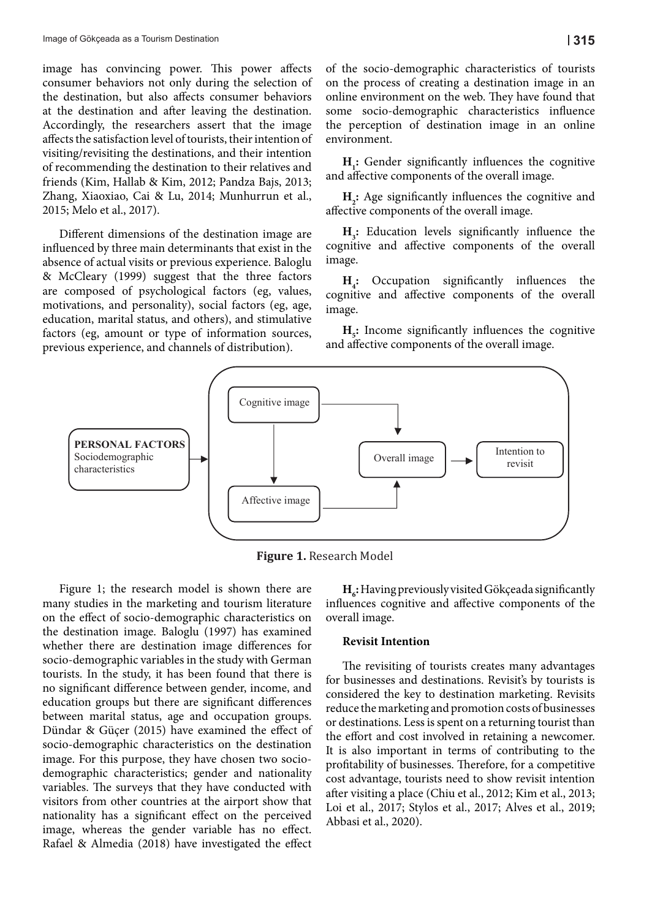image has convincing power. This power affects consumer behaviors not only during the selection of the destination, but also affects consumer behaviors at the destination and after leaving the destination. Accordingly, the researchers assert that the image affects the satisfaction level of tourists, their intention of visiting/revisiting the destinations, and their intention of recommending the destination to their relatives and **H<sub>1</sub>**: Gender significant State State of the destination to their relatives and  $\frac{H_1}{\sigma}$ . friends (Kim, Hallab & Kim, 2012; Pandza Bajs, 2013; and affective compone Zhang, Xiaoxiao, Cai & Lu, 2014; Munhurrun et al., 2015; Melo et al., 2017).

Different dimensions of the destination image are  $H_i$ : Education influenced by three main determinants that exist in the cognitive and a absence of actual visits or previous experience. Baloglu & McCleary (1999) suggest that the three factors **H**: Occupation si are composed of psychological factors (eg, values, motivations, and personality), social factors (eg, age, education, marital status, and others), and stimulative factors (eg, amount or type of information sources, previous experience, and channels of distribution).

of the socio-demographic characteristics of tourists on the process of creating a destination image in an online environment on the web. They have found that some socio-demographic characteristics influence the perception of destination image in an online environment.

**H**<sub>1</sub>: Gender significantly influences the cognitive and affective components of the overall image.

al., **H<sub>2</sub>**: Age significantly influences the cognitive and affective components of the overall image.

> **H<sub>3</sub>:** Education levels significantly influence the cognitive and affective components of the overall image.

> **H4 :** Occupation significantly influences the cognitive and affective components of the overall image.

> **H**<sub>2</sub>: Income significantly influences the cognitive and affective components of the overall image.



**Figure 1.** Research Model

Figure 1; the research model is shown there are many studies in the marketing and tourism literature on the effect of socio-demographic characteristics on the destination image. Baloglu (1997) has examined whether there are destination image differences for socio-demographic variables in the study with German tourists. In the study, it has been found that there is no significant difference between gender, income, and education groups but there are significant differences between marital status, age and occupation groups. Dündar & Güçer (2015) have examined the effect of socio-demographic characteristics on the destination image. For this purpose, they have chosen two sociodemographic characteristics; gender and nationality variables. The surveys that they have conducted with visitors from other countries at the airport show that nationality has a significant effect on the perceived image, whereas the gender variable has no effect. Rafael & Almedia (2018) have investigated the effect

 $H_{\delta}$ : Having previously visited Gökçeada significantly influences cognitive and affective components of the overall image.

#### **Revisit Intention**

The revisiting of tourists creates many advantages for businesses and destinations. Revisit's by tourists is considered the key to destination marketing. Revisits reduce the marketing and promotion costs of businesses or destinations. Less is spent on a returning tourist than the effort and cost involved in retaining a newcomer. It is also important in terms of contributing to the profitability of businesses. Therefore, for a competitive cost advantage, tourists need to show revisit intention after visiting a place (Chiu et al., 2012; Kim et al., 2013; Loi et al., 2017; Stylos et al., 2017; Alves et al., 2019; Abbasi et al., 2020).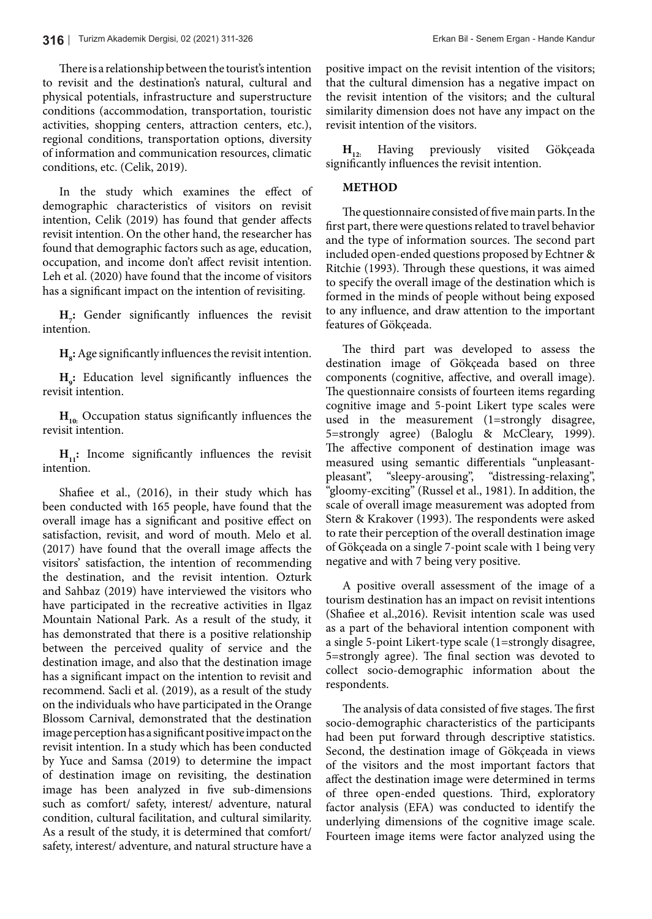There is a relationship between the tourist's intention to revisit and the destination's natural, cultural and physical potentials, infrastructure and superstructure conditions (accommodation, transportation, touristic activities, shopping centers, attraction centers, etc.), regional conditions, transportation options, diversity of information and communication resources, climatic conditions, etc. (Celik, 2019).

In the study which examines the effect of demographic characteristics of visitors on revisit intention, Celik (2019) has found that gender affects revisit intention. On the other hand, the researcher has found that demographic factors such as age, education, occupation, and income don't affect revisit intention. Leh et al. (2020) have found that the income of visitors has a significant impact on the intention of revisiting.

**H**<sub>2</sub>: Gender significantly influences the revisit intention.

 $\mathbf{H}_s$ : Age significantly influences the revisit intention.

**H9 :** Education level significantly influences the revisit intention.

 $H_{10}$ : Occupation status significantly influences the revisit intention.

**H<sub>11</sub>:** Income significantly influences the revisit intention.

Shafiee et al., (2016), in their study which has been conducted with 165 people, have found that the overall image has a significant and positive effect on satisfaction, revisit, and word of mouth. Melo et al. (2017) have found that the overall image affects the visitors' satisfaction, the intention of recommending the destination, and the revisit intention. Ozturk and Sahbaz (2019) have interviewed the visitors who have participated in the recreative activities in Ilgaz Mountain National Park. As a result of the study, it has demonstrated that there is a positive relationship between the perceived quality of service and the destination image, and also that the destination image has a significant impact on the intention to revisit and recommend. Sacli et al. (2019), as a result of the study on the individuals who have participated in the Orange Blossom Carnival, demonstrated that the destination image perception has a significant positive impact on the revisit intention. In a study which has been conducted by Yuce and Samsa (2019) to determine the impact of destination image on revisiting, the destination image has been analyzed in five sub-dimensions such as comfort/ safety, interest/ adventure, natural condition, cultural facilitation, and cultural similarity. As a result of the study, it is determined that comfort/ safety, interest/ adventure, and natural structure have a positive impact on the revisit intention of the visitors; that the cultural dimension has a negative impact on the revisit intention of the visitors; and the cultural similarity dimension does not have any impact on the revisit intention of the visitors.

**H12:** Having previously visited Gökçeada significantly influences the revisit intention.

#### **METHOD**

The questionnaire consisted of five main parts. In the first part, there were questions related to travel behavior and the type of information sources. The second part included open-ended questions proposed by Echtner & Ritchie (1993). Through these questions, it was aimed to specify the overall image of the destination which is formed in the minds of people without being exposed to any influence, and draw attention to the important features of Gökçeada.

The third part was developed to assess the destination image of Gökçeada based on three components (cognitive, affective, and overall image). The questionnaire consists of fourteen items regarding cognitive image and 5-point Likert type scales were used in the measurement (1=strongly disagree, 5=strongly agree) (Baloglu & McCleary, 1999). The affective component of destination image was measured using semantic differentials "unpleasantpleasant", "sleepy-arousing", "distressing-relaxing", "gloomy-exciting" (Russel et al., 1981). In addition, the scale of overall image measurement was adopted from Stern & Krakover (1993). The respondents were asked to rate their perception of the overall destination image of Gökçeada on a single 7-point scale with 1 being very negative and with 7 being very positive.

A positive overall assessment of the image of a tourism destination has an impact on revisit intentions (Shafiee et al.,2016). Revisit intention scale was used as a part of the behavioral intention component with a single 5-point Likert-type scale (1=strongly disagree, 5=strongly agree). The final section was devoted to collect socio-demographic information about the respondents.

The analysis of data consisted of five stages. The first socio-demographic characteristics of the participants had been put forward through descriptive statistics. Second, the destination image of Gökçeada in views of the visitors and the most important factors that affect the destination image were determined in terms of three open-ended questions. Third, exploratory factor analysis (EFA) was conducted to identify the underlying dimensions of the cognitive image scale. Fourteen image items were factor analyzed using the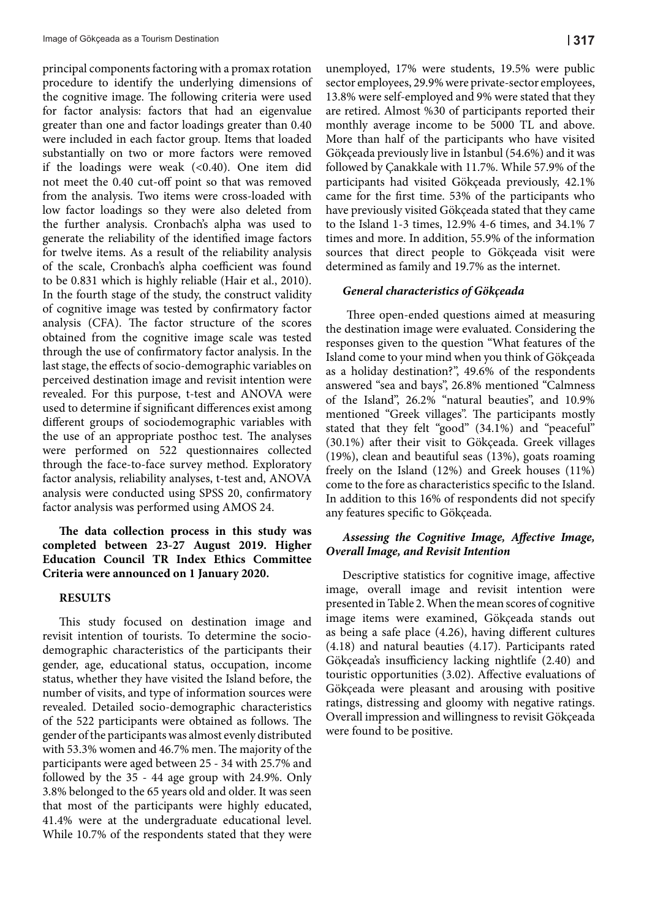principal components factoring with a promax rotation procedure to identify the underlying dimensions of the cognitive image. The following criteria were used for factor analysis: factors that had an eigenvalue greater than one and factor loadings greater than 0.40 were included in each factor group. Items that loaded substantially on two or more factors were removed if the loadings were weak  $( $0.40$ ). One item did$ not meet the 0.40 cut-off point so that was removed from the analysis. Two items were cross-loaded with low factor loadings so they were also deleted from the further analysis. Cronbach's alpha was used to generate the reliability of the identified image factors for twelve items. As a result of the reliability analysis of the scale, Cronbach's alpha coefficient was found to be 0.831 which is highly reliable (Hair et al., 2010). In the fourth stage of the study, the construct validity of cognitive image was tested by confirmatory factor analysis (CFA). The factor structure of the scores obtained from the cognitive image scale was tested through the use of confirmatory factor analysis. In the last stage, the effects of socio-demographic variables on perceived destination image and revisit intention were revealed. For this purpose, t-test and ANOVA were used to determine if significant differences exist among different groups of sociodemographic variables with the use of an appropriate posthoc test. The analyses were performed on 522 questionnaires collected through the face-to-face survey method. Exploratory factor analysis, reliability analyses, t-test and, ANOVA analysis were conducted using SPSS 20, confirmatory factor analysis was performed using AMOS 24.

#### **The data collection process in this study was completed between 23-27 August 2019. Higher Education Council TR Index Ethics Committee Criteria were announced on 1 January 2020.**

#### **RESULTS**

This study focused on destination image and revisit intention of tourists. To determine the sociodemographic characteristics of the participants their gender, age, educational status, occupation, income status, whether they have visited the Island before, the number of visits, and type of information sources were revealed. Detailed socio-demographic characteristics of the 522 participants were obtained as follows. The gender of the participants was almost evenly distributed with 53.3% women and 46.7% men. The majority of the participants were aged between 25 - 34 with 25.7% and followed by the 35 - 44 age group with 24.9%. Only 3.8% belonged to the 65 years old and older. It was seen that most of the participants were highly educated, 41.4% were at the undergraduate educational level. While 10.7% of the respondents stated that they were unemployed, 17% were students, 19.5% were public sector employees, 29.9% were private-sector employees, 13.8% were self-employed and 9% were stated that they are retired. Almost %30 of participants reported their monthly average income to be 5000 TL and above. More than half of the participants who have visited Gökçeada previously live in İstanbul (54.6%) and it was followed by Çanakkale with 11.7%. While 57.9% of the participants had visited Gökçeada previously, 42.1% came for the first time. 53% of the participants who have previously visited Gökçeada stated that they came to the Island 1-3 times, 12.9% 4-6 times, and 34.1% 7 times and more. In addition, 55.9% of the information sources that direct people to Gökçeada visit were determined as family and 19.7% as the internet.

#### *General characteristics of Gökçeada*

 Three open-ended questions aimed at measuring the destination image were evaluated. Considering the responses given to the question "What features of the Island come to your mind when you think of Gökçeada as a holiday destination?", 49.6% of the respondents answered "sea and bays", 26.8% mentioned "Calmness of the Island", 26.2% "natural beauties", and 10.9% mentioned "Greek villages". The participants mostly stated that they felt "good" (34.1%) and "peaceful" (30.1%) after their visit to Gökçeada. Greek villages (19%), clean and beautiful seas (13%), goats roaming freely on the Island (12%) and Greek houses (11%) come to the fore as characteristics specific to the Island. In addition to this 16% of respondents did not specify any features specific to Gökçeada.

#### *Assessing the Cognitive Image, Affective Image, Overall Image, and Revisit Intention*

Descriptive statistics for cognitive image, affective image, overall image and revisit intention were presented in Table 2. When the mean scores of cognitive image items were examined, Gökçeada stands out as being a safe place (4.26), having different cultures (4.18) and natural beauties (4.17). Participants rated Gökçeada's insufficiency lacking nightlife (2.40) and touristic opportunities (3.02). Affective evaluations of Gökçeada were pleasant and arousing with positive ratings, distressing and gloomy with negative ratings. Overall impression and willingness to revisit Gökçeada were found to be positive.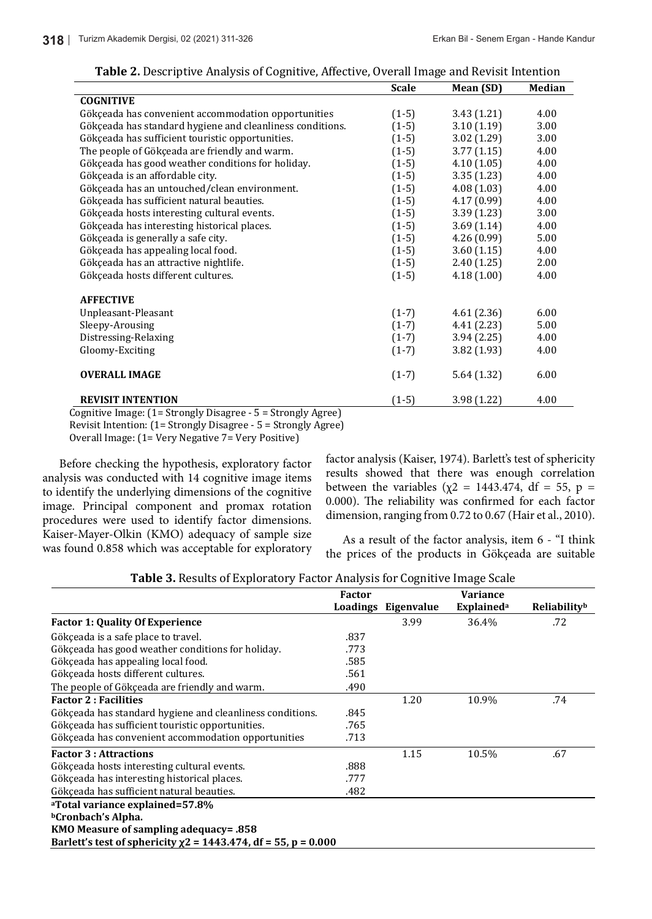|                                                                                                        | <b>Scale</b> | Mean (SD)   | Median |
|--------------------------------------------------------------------------------------------------------|--------------|-------------|--------|
| <b>COGNITIVE</b>                                                                                       |              |             |        |
| Gökçeada has convenient accommodation opportunities                                                    | $(1-5)$      | 3.43(1.21)  | 4.00   |
| Gökçeada has standard hygiene and cleanliness conditions.                                              | $(1-5)$      | 3.10(1.19)  | 3.00   |
| Gökçeada has sufficient touristic opportunities.                                                       | $(1-5)$      | 3.02(1.29)  | 3.00   |
| The people of Gökçeada are friendly and warm.                                                          | $(1-5)$      | 3.77(1.15)  | 4.00   |
| Gökçeada has good weather conditions for holiday.                                                      | $(1-5)$      | 4.10(1.05)  | 4.00   |
| Gökçeada is an affordable city.                                                                        | $(1-5)$      | 3.35(1.23)  | 4.00   |
| Gökçeada has an untouched/clean environment.                                                           | $(1-5)$      | 4.08(1.03)  | 4.00   |
| Gökçeada has sufficient natural beauties.                                                              | $(1-5)$      | 4.17(0.99)  | 4.00   |
| Gökçeada hosts interesting cultural events.                                                            | $(1-5)$      | 3.39(1.23)  | 3.00   |
| Gökçeada has interesting historical places.                                                            | $(1-5)$      | 3.69(1.14)  | 4.00   |
| Gökçeada is generally a safe city.                                                                     | $(1-5)$      | 4.26 (0.99) | 5.00   |
| Gökçeada has appealing local food.                                                                     | $(1-5)$      | 3.60(1.15)  | 4.00   |
| Gökçeada has an attractive nightlife.                                                                  | $(1-5)$      | 2.40(1.25)  | 2.00   |
| Gökçeada hosts different cultures.                                                                     | $(1-5)$      | 4.18(1.00)  | 4.00   |
| <b>AFFECTIVE</b>                                                                                       |              |             |        |
| Unpleasant-Pleasant                                                                                    | $(1-7)$      | 4.61(2.36)  | 6.00   |
| Sleepy-Arousing                                                                                        | $(1-7)$      | 4.41(2.23)  | 5.00   |
| Distressing-Relaxing                                                                                   | $(1-7)$      | 3.94(2.25)  | 4.00   |
| Gloomy-Exciting                                                                                        | $(1-7)$      | 3.82(1.93)  | 4.00   |
| <b>OVERALL IMAGE</b>                                                                                   | $(1-7)$      | 5.64(1.32)  | 6.00   |
| <b>REVISIT INTENTION</b><br>$\Gamma$ ognitivo Imagou (1 - Strongly Disagree $\Gamma$ - Strongly Agree) | $(1-5)$      | 3.98(1.22)  | 4.00   |

#### **Table 2.** Descriptive Analysis of Cognitive, Affective, Overall Image and Revisit Intention

Before checking the hypothesis, exploratory factor **ELECT BEOGRAPHER** (Nalset, 1974). Barietts test of s analysis was conducted with 14 cognitive image items to identify the underlying dimensions of the cognitive between the variables  $(\chi^2 = 1443.474, df =$ image. Principal component and promax rotation  $\frac{0.016}{1.006}$ procedures were used to identify factor dimensions. dir Frecedures were doed to rushing russes annohesens.<br>Kaiser-Mayer-Olkin (KMO) adequacy of sample size and a sample of the factor analysis, item 6 - "I t was found 0.858 which was acceptable for exploratory  $\frac{1}{\text{the price}}$ 

factor analysis (Kaiser, 1974). Barlett's test of sphericity results showed that there was enough correlation between the variables ( $\chi$ 2 = 1443.474, df = 55, p = 0.000). The reliability was confirmed for each factor dimension, ranging from 0.72 to 0.67 (Hair et al., 2010).

As a result of the factor analysis, item 6 - "I think the prices of the products in Gökçeada are suitable  $\Gamma$ 

| Table 3. Results of Exploratory Factor Analysis for Cognitive Image Scale |  |
|---------------------------------------------------------------------------|--|
|---------------------------------------------------------------------------|--|

|                                                                      | <b>Factor</b> |                     | <b>Variance</b>               |              |
|----------------------------------------------------------------------|---------------|---------------------|-------------------------------|--------------|
|                                                                      |               | Loadings Eigenvalue | <b>Explained</b> <sup>a</sup> | Reliabilityb |
| <b>Factor 1: Quality Of Experience</b>                               |               | 3.99                | 36.4%                         | .72          |
| Gökçeada is a safe place to travel.                                  | .837          |                     |                               |              |
| Gökçeada has good weather conditions for holiday.                    | .773          |                     |                               |              |
| Gökçeada has appealing local food.                                   | .585          |                     |                               |              |
| Gökçeada hosts different cultures.                                   | .561          |                     |                               |              |
| The people of Gökçeada are friendly and warm.                        | .490          |                     |                               |              |
| <b>Factor 2: Facilities</b>                                          |               | 1.20                | 10.9%                         | .74          |
| Gökçeada has standard hygiene and cleanliness conditions.            | .845          |                     |                               |              |
| Gökçeada has sufficient touristic opportunities.                     | .765          |                     |                               |              |
| Gökçeada has convenient accommodation opportunities                  | .713          |                     |                               |              |
| <b>Factor 3: Attractions</b>                                         |               | 1.15                | 10.5%                         | .67          |
| Gökçeada hosts interesting cultural events.                          | .888          |                     |                               |              |
| Gökçeada has interesting historical places.                          | .777          |                     |                               |              |
| Gökçeada has sufficient natural beauties.                            | .482          |                     |                               |              |
| <sup>a</sup> Total variance explained=57.8%                          |               |                     |                               |              |
| <sup>b</sup> Cronbach's Alpha.                                       |               |                     |                               |              |
| 858. KMO Measure of sampling adequacy=                               |               |                     |                               |              |
| Barlett's test of sphericity $\chi$ 2 = 1443.474, df = 55, p = 0.000 |               |                     |                               |              |
|                                                                      |               |                     |                               |              |

Cognitive Image: (1= Strongly Disagree - 5 = Strongly Agree) Revisit Intention: (1= Strongly Disagree - 5 = Strongly Agree) Overall Image: (1= Very Negative 7= Very Positive)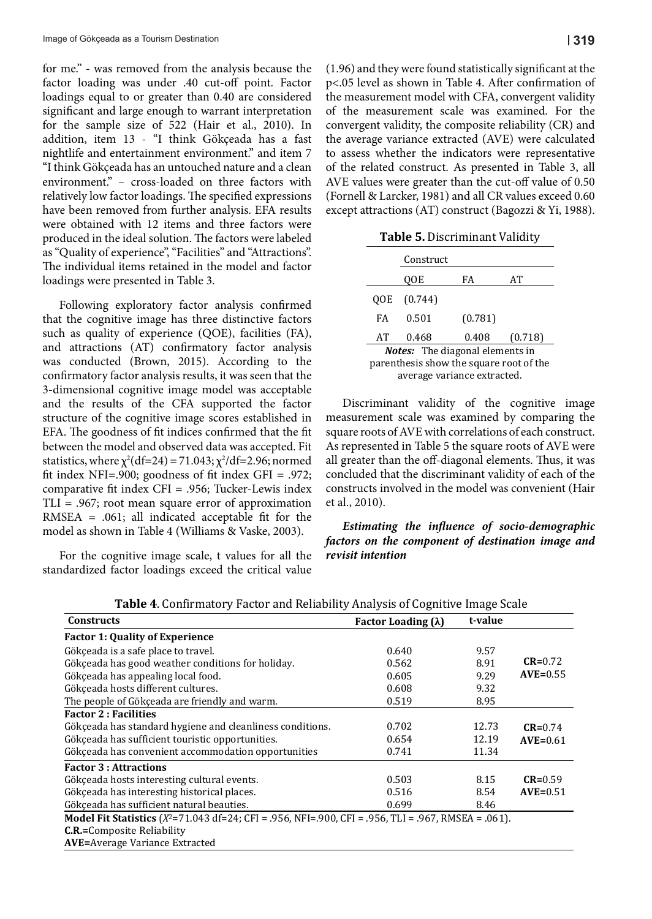for me." - was removed from the analysis because the factor loading was under .40 cut-off point. Factor loadings equal to or greater than 0.40 are considered significant and large enough to warrant interpretation for the sample size of 522 (Hair et al., 2010). In addition, item 13 - "I think Gökçeada has a fast nightlife and entertainment environment." and item 7 "I think Gökçeada has an untouched nature and a clean **C.R.=**Composite Reliability environment." - cross-loaded on three factors with AVE v relatively low factor loadings. The specified expressions have been removed from further analysis. EFA results were obtained with 12 items and three factors were produced in the ideal solution. The factors were labeled as "Quality of experience", "Facilities" and "Attractions". The individual items retained in the model and factor loadings were presented in Table 3.

Following exploratory factor analysis confirmed that the cognitive image has three distinctive factors such as quality of experience (QOE), facilities (FA), and attractions (AT) confirmatory factor analysis was conducted (Brown, 2015). According to the confirmatory factor analysis results, it was seen that the 3-dimensional cognitive image model was acceptable and the results of the CFA supported the factor structure of the cognitive image scores established in EFA. The goodness of fit indices confirmed that the fit between the model and observed data was accepted. Fit statistics, where  $\chi^2(df=24) = 71.043$ ;  $\chi^2(df=2.96; normal$ fit index NFI=.900; goodness of fit index GFI = .972; comparative fit index CFI = .956; Tucker-Lewis index TLI = .967; root mean square error of approximation RMSEA = .061; all indicated acceptable fit for the model as shown in Table 4 (Williams & Vaske, 2003).

For the cognitive image scale, t values for all the standardized factor loadings exceed the critical value

e analysis because the (1.96) and they were found statistically significant at the cut-off point. Factor  $p<0.05$  level as shown in Table 4. After confirmation of the measurement model with CFA, convergent validity warrant interpretation of the measurement scale was examined. For the Iair et al., 2010). In convergent validity, the composite reliability (CR) and Gökçeada has a fast ) the average variance extracted (AVE) were calculated ironment." and item 7 to assess whether the indicators were representative of the related construct. As presented in Table 3, all AVE values were greater than the cut-off value of 0.50 (Fornell & Larcker, 1981) and all CR values exceed 0.60 except attractions (AT) construct (Bagozzi & Yi, 1988).  $\epsilon$  analysis because the  $(1.90)$  and they were found statistically significant at the

**Table 5.** Discriminant Validity

|                                         | Construct |         |         |  |  |  |  |
|-----------------------------------------|-----------|---------|---------|--|--|--|--|
|                                         | 00E       | FA      | AТ      |  |  |  |  |
| 00E                                     | (0.744)   |         |         |  |  |  |  |
| FA                                      | 0.501     | (0.781) |         |  |  |  |  |
| AТ                                      | 0.468     | 0.408   | (0.718) |  |  |  |  |
| <b>Notes:</b> The diagonal elements in  |           |         |         |  |  |  |  |
| parenthesis show the square root of the |           |         |         |  |  |  |  |
| average variance extracted.             |           |         |         |  |  |  |  |
|                                         |           |         |         |  |  |  |  |

Discriminant validity of the cognitive image measurement scale was examined by comparing the square roots of AVE with correlations of each construct. As represented in Table 5 the square roots of AVE were all greater than the off-diagonal elements. Thus, it was concluded that the discriminant validity of each of the constructs involved in the model was convenient (Hair et al., 2010).

*Estimating the influence of socio-demographic factors on the component of destination image and revisit intention*

| <b>Constructs</b>                                                                                                | Factor Loading $(\lambda)$ | t-value |             |
|------------------------------------------------------------------------------------------------------------------|----------------------------|---------|-------------|
| <b>Factor 1: Quality of Experience</b>                                                                           |                            |         |             |
| Gökçeada is a safe place to travel.                                                                              | 0.640                      | 9.57    |             |
| Gökceada has good weather conditions for holiday.                                                                | 0.562                      | 8.91    | $CR = 0.72$ |
| Gökçeada has appealing local food.                                                                               | 0.605                      | 9.29    | $AVE=0.55$  |
| Gökceada hosts different cultures.                                                                               | 0.608                      | 9.32    |             |
| The people of Gökceada are friendly and warm.                                                                    | 0.519                      | 8.95    |             |
| <b>Factor 2: Facilities</b>                                                                                      |                            |         |             |
| Gökçeada has standard hygiene and cleanliness conditions.                                                        | 0.702                      | 12.73   | $CR = 0.74$ |
| Gökçeada has sufficient touristic opportunities.                                                                 | 0.654                      | 12.19   | $AVE=0.61$  |
| Gökçeada has convenient accommodation opportunities                                                              | 0.741                      | 11.34   |             |
| <b>Factor 3: Attractions</b>                                                                                     |                            |         |             |
| Gökçeada hosts interesting cultural events.                                                                      | 0.503                      | 8.15    | $CR = 0.59$ |
| Gökceada has interesting historical places.                                                                      | 0.516                      | 8.54    | $AVE=0.51$  |
| Gökçeada has sufficient natural beauties.                                                                        | 0.699                      | 8.46    |             |
| <b>Model Fit Statistics</b> ( $X^2 = 71.043$ df=24; CFI = .956, NFI=.900, CFI = .956, TLI = .967, RMSEA = .061). |                            |         |             |
| <b>C.R.=Composite Reliability</b>                                                                                |                            |         |             |
| <b>AVE=Average Variance Extracted</b>                                                                            |                            |         |             |

**Table 4**. Confirmatory Factor and Reliability Analysis of Cognitive Image Scale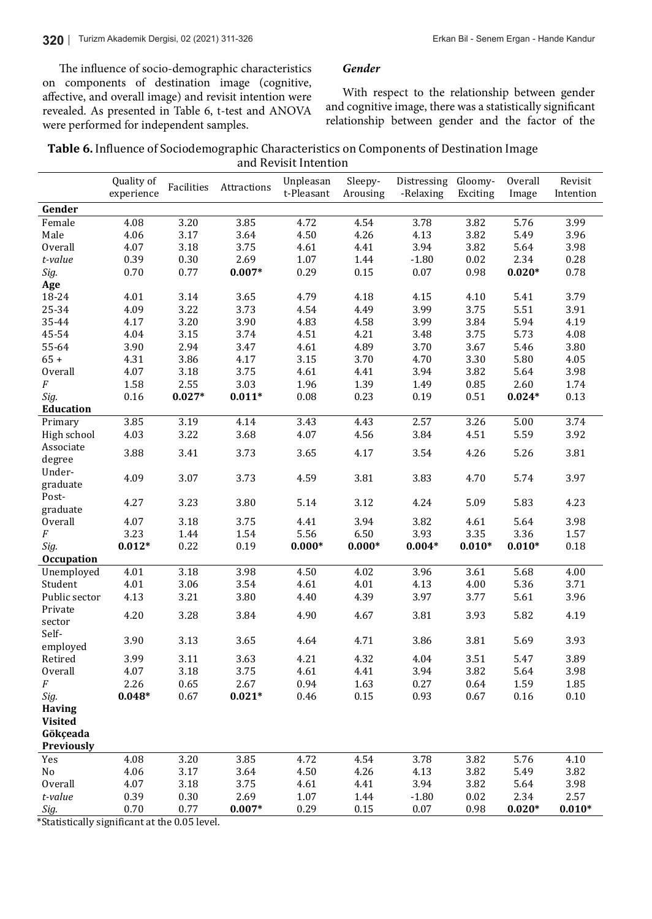The influence of socio-demographic characteristics on components of destination image (cognitive, affective, and overall image) and revisit intention were revealed. As presented in Table 6, t-test and ANOVA were performed for independent samples.

*Gender* 

With respect to the relationship between gender and cognitive image, there was a statistically significant relationship between gender and the factor of the

| <b>Table 6.</b> Influence of Sociodemographic Characteristics on Components of Destination Image |
|--------------------------------------------------------------------------------------------------|
| and Revisit Intention                                                                            |

|                       | Quality of   | Facilities   | Attractions  | Unpleasan    | Sleepy-      | Distressing  | Gloomy-           | Overall      | Revisit      |
|-----------------------|--------------|--------------|--------------|--------------|--------------|--------------|-------------------|--------------|--------------|
|                       | experience   |              |              | t-Pleasant   | Arousing     | -Relaxing    | Exciting          | Image        | Intention    |
| Gender                |              |              |              |              |              |              |                   |              |              |
| Female                | 4.08         | 3.20         | 3.85         | 4.72         | 4.54         | 3.78         | 3.82              | 5.76         | 3.99         |
| Male                  | 4.06         | 3.17         | 3.64         | 4.50         | 4.26         | 4.13         | 3.82              | 5.49         | 3.96         |
| <b>Overall</b>        | 4.07         | 3.18         | 3.75         | 4.61         | 4.41         | 3.94         | 3.82              | 5.64         | 3.98         |
| t-value               | 0.39         | 0.30         | 2.69         | 1.07         | 1.44         | $-1.80$      | 0.02              | 2.34         | 0.28         |
| Sig.                  | 0.70         | 0.77         | $0.007*$     | 0.29         | $0.15\,$     | 0.07         | 0.98              | $0.020*$     | 0.78         |
| Age                   |              |              |              |              |              |              |                   |              |              |
| 18-24                 | 4.01         | 3.14         | 3.65         | 4.79         | 4.18         | 4.15         | 4.10              | 5.41         | 3.79         |
| 25-34                 | 4.09         | 3.22         | 3.73         | 4.54         | 4.49         | 3.99         | 3.75              | 5.51         | 3.91         |
| 35-44                 | 4.17         | 3.20         | 3.90         | 4.83         | 4.58         | 3.99         | 3.84              | 5.94         | 4.19         |
| 45-54                 | 4.04         | 3.15         | 3.74         | 4.51         | 4.21         | 3.48         | 3.75              | 5.73         | 4.08         |
| 55-64                 | 3.90         | 2.94         | 3.47         | 4.61         | 4.89         | 3.70         | 3.67              | 5.46         | 3.80         |
| $65 +$                | 4.31         | 3.86         | 4.17         | 3.15         | 3.70         | 4.70         | 3.30              | 5.80         | 4.05         |
| Overall               | 4.07         | 3.18         | 3.75         | 4.61         | 4.41         | 3.94         | 3.82              | 5.64         | 3.98         |
| $\boldsymbol{F}$      | 1.58         | 2.55         | 3.03         | 1.96         | 1.39         | 1.49         | 0.85              | 2.60         | 1.74         |
| Sig.                  | 0.16         | $0.027*$     | $0.011*$     | 0.08         | 0.23         | 0.19         | 0.51              | $0.024*$     | 0.13         |
| <b>Education</b>      |              |              |              |              |              |              |                   |              |              |
| Primary               | 3.85         | 3.19         | 4.14         | 3.43         | 4.43         | 2.57         | 3.26              | 5.00         | 3.74         |
| High school           | 4.03         | 3.22         | 3.68         | 4.07         | 4.56         | 3.84         | 4.51              | 5.59         | 3.92         |
| Associate             | 3.88         | 3.41         | 3.73         | 3.65         | 4.17         | 3.54         | 4.26              | 5.26         | 3.81         |
| degree                |              |              |              |              |              |              |                   |              |              |
| Under-                | 4.09         | 3.07         | 3.73         | 4.59         | 3.81         | 3.83         | 4.70              | 5.74         | 3.97         |
| graduate              |              |              |              |              |              |              |                   |              |              |
| Post-                 | 4.27         | 3.23         | 3.80         | 5.14         | 3.12         | 4.24         | 5.09              | 5.83         | 4.23         |
| graduate              |              |              |              |              |              |              |                   |              |              |
| Overall               | 4.07         | 3.18         | 3.75         | 4.41         | 3.94         | 3.82         | 4.61              | 5.64         | 3.98         |
| $\boldsymbol{F}$      | 3.23         | 1.44         | 1.54         | 5.56         | 6.50         | 3.93         | 3.35              | 3.36         | 1.57         |
| Sig.                  | $0.012*$     | 0.22         | 0.19         | $0.000*$     | $0.000*$     | $0.004*$     | $0.010*$          | $0.010*$     | $0.18\,$     |
| <b>Occupation</b>     |              |              |              |              |              |              |                   |              |              |
| Unemployed            | 4.01         | 3.18         | 3.98         | 4.50         | 4.02         | 3.96         | $\overline{3.61}$ | 5.68         | 4.00         |
| Student               | 4.01         | 3.06         | 3.54         | 4.61         | 4.01         | 4.13         | 4.00              | 5.36         | 3.71         |
| Public sector         | 4.13         | 3.21         | 3.80         | 4.40         | 4.39         | 3.97         | 3.77              | 5.61         | 3.96         |
| Private               | 4.20         | 3.28         | 3.84         | 4.90         | 4.67         | 3.81         | 3.93              | 5.82         | 4.19         |
| sector                |              |              |              |              |              |              |                   |              |              |
| Self-                 | 3.90         | 3.13         | 3.65         | 4.64         | 4.71         | 3.86         | 3.81              | 5.69         | 3.93         |
| employed              |              |              |              |              |              |              |                   |              |              |
| Retired<br>Overall    | 3.99<br>4.07 | 3.11<br>3.18 | 3.63<br>3.75 | 4.21<br>4.61 | 4.32<br>4.41 | 4.04<br>3.94 | 3.51<br>3.82      | 5.47<br>5.64 | 3.89         |
| $\cal F$              | 2.26         | 0.65         | 2.67         | 0.94         |              | 0.27         |                   |              | 3.98<br>1.85 |
|                       |              | 0.67         | $0.021*$     |              | 1.63         | 0.93         | 0.64              | 1.59         |              |
| Sig.<br><b>Having</b> | $0.048*$     |              |              | 0.46         | 0.15         |              | 0.67              | 0.16         | $0.10\,$     |
| <b>Visited</b>        |              |              |              |              |              |              |                   |              |              |
| Gökçeada              |              |              |              |              |              |              |                   |              |              |
| Previously            |              |              |              |              |              |              |                   |              |              |
| Yes                   | 4.08         | 3.20         | 3.85         | 4.72         | 4.54         | 3.78         | 3.82              | 5.76         | 4.10         |
| No                    | 4.06         | 3.17         | 3.64         | 4.50         | 4.26         | 4.13         | 3.82              | 5.49         | 3.82         |
| <b>Overall</b>        | 4.07         | 3.18         | 3.75         | 4.61         | 4.41         | 3.94         | 3.82              | 5.64         | 3.98         |
| t-value               | 0.39         | 0.30         | 2.69         | 1.07         | 1.44         | $-1.80$      | 0.02              | 2.34         | 2.57         |
| Sig.                  | 0.70         | 0.77         | $0.007*$     | 0.29         | 0.15         | 0.07         | 0.98              | $0.020*$     | $0.010*$     |
|                       |              |              |              |              |              |              |                   |              |              |

\*Statistically significant at the 0.05 level.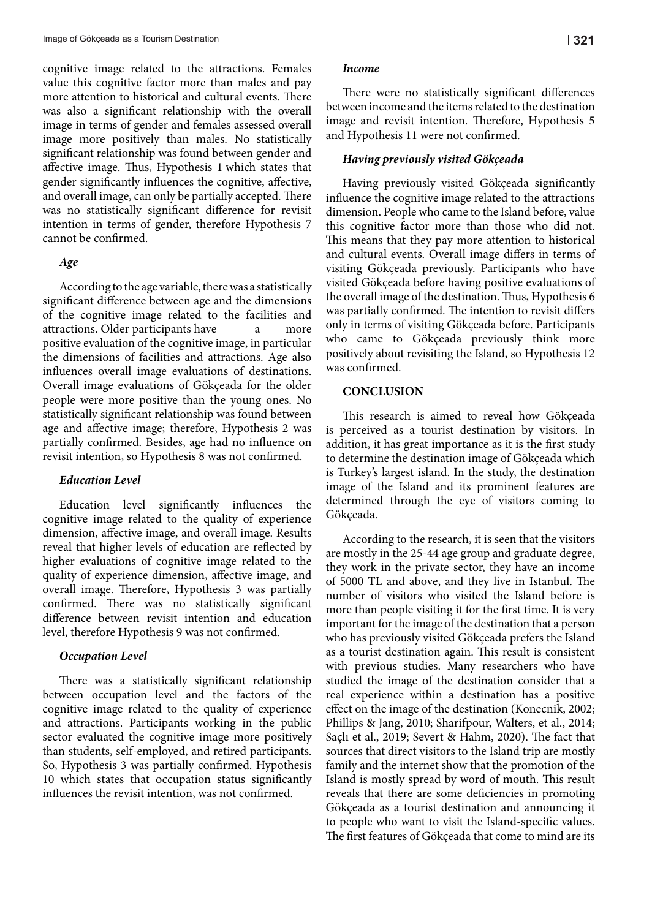cognitive image related to the attractions. Females value this cognitive factor more than males and pay more attention to historical and cultural events. There was also a significant relationship with the overall image in terms of gender and females assessed overall image more positively than males. No statistically significant relationship was found between gender and affective image. Thus, Hypothesis 1 which states that gender significantly influences the cognitive, affective, and overall image, can only be partially accepted. There was no statistically significant difference for revisit intention in terms of gender, therefore Hypothesis 7 cannot be confirmed.

#### *Age*

According to the age variable, there was a statistically significant difference between age and the dimensions of the cognitive image related to the facilities and attractions. Older participants have a more positive evaluation of the cognitive image, in particular the dimensions of facilities and attractions. Age also influences overall image evaluations of destinations. Overall image evaluations of Gökçeada for the older people were more positive than the young ones. No statistically significant relationship was found between age and affective image; therefore, Hypothesis 2 was partially confirmed. Besides, age had no influence on revisit intention, so Hypothesis 8 was not confirmed.

#### *Education Level*

Education level significantly influences the cognitive image related to the quality of experience dimension, affective image, and overall image. Results reveal that higher levels of education are reflected by higher evaluations of cognitive image related to the quality of experience dimension, affective image, and overall image. Therefore, Hypothesis 3 was partially confirmed. There was no statistically significant difference between revisit intention and education level, therefore Hypothesis 9 was not confirmed.

#### *Occupation Level*

There was a statistically significant relationship between occupation level and the factors of the cognitive image related to the quality of experience and attractions. Participants working in the public sector evaluated the cognitive image more positively than students, self-employed, and retired participants. So, Hypothesis 3 was partially confirmed. Hypothesis 10 which states that occupation status significantly influences the revisit intention, was not confirmed.

#### *Income*

There were no statistically significant differences between income and the items related to the destination image and revisit intention. Therefore, Hypothesis 5 and Hypothesis 11 were not confirmed.

#### *Having previously visited Gökçeada*

Having previously visited Gökçeada significantly influence the cognitive image related to the attractions dimension. People who came to the Island before, value this cognitive factor more than those who did not. This means that they pay more attention to historical and cultural events. Overall image differs in terms of visiting Gökçeada previously. Participants who have visited Gökçeada before having positive evaluations of the overall image of the destination. Thus, Hypothesis 6 was partially confirmed. The intention to revisit differs only in terms of visiting Gökçeada before. Participants who came to Gökçeada previously think more positively about revisiting the Island, so Hypothesis 12 was confirmed.

#### **CONCLUSION**

This research is aimed to reveal how Gökçeada is perceived as a tourist destination by visitors. In addition, it has great importance as it is the first study to determine the destination image of Gökçeada which is Turkey's largest island. In the study, the destination image of the Island and its prominent features are determined through the eye of visitors coming to Gökçeada.

According to the research, it is seen that the visitors are mostly in the 25-44 age group and graduate degree, they work in the private sector, they have an income of 5000 TL and above, and they live in Istanbul. The number of visitors who visited the Island before is more than people visiting it for the first time. It is very important for the image of the destination that a person who has previously visited Gökçeada prefers the Island as a tourist destination again. This result is consistent with previous studies. Many researchers who have studied the image of the destination consider that a real experience within a destination has a positive effect on the image of the destination (Konecnik, 2002; Phillips & Jang, 2010; Sharifpour, Walters, et al., 2014; Saçlı et al., 2019; Severt & Hahm, 2020). The fact that sources that direct visitors to the Island trip are mostly family and the internet show that the promotion of the Island is mostly spread by word of mouth. This result reveals that there are some deficiencies in promoting Gökçeada as a tourist destination and announcing it to people who want to visit the Island-specific values. The first features of Gökçeada that come to mind are its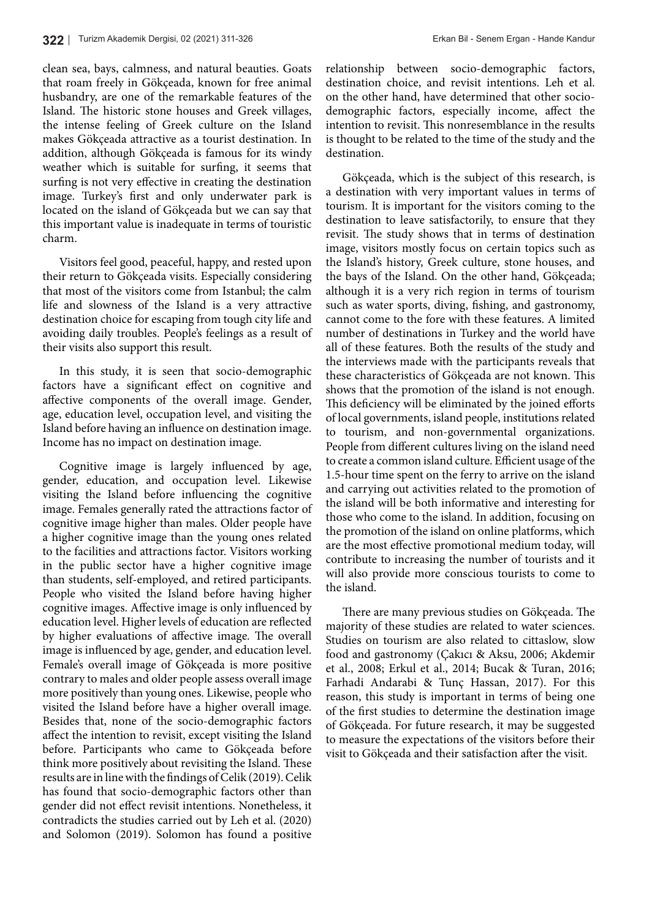clean sea, bays, calmness, and natural beauties. Goats that roam freely in Gökçeada, known for free animal husbandry, are one of the remarkable features of the Island. The historic stone houses and Greek villages, the intense feeling of Greek culture on the Island makes Gökçeada attractive as a tourist destination. In addition, although Gökçeada is famous for its windy weather which is suitable for surfing, it seems that surfing is not very effective in creating the destination image. Turkey's first and only underwater park is located on the island of Gökçeada but we can say that this important value is inadequate in terms of touristic charm.

Visitors feel good, peaceful, happy, and rested upon their return to Gökçeada visits. Especially considering that most of the visitors come from Istanbul; the calm life and slowness of the Island is a very attractive destination choice for escaping from tough city life and avoiding daily troubles. People's feelings as a result of their visits also support this result.

In this study, it is seen that socio-demographic factors have a significant effect on cognitive and affective components of the overall image. Gender, age, education level, occupation level, and visiting the Island before having an influence on destination image. Income has no impact on destination image.

Cognitive image is largely influenced by age, gender, education, and occupation level. Likewise visiting the Island before influencing the cognitive image. Females generally rated the attractions factor of cognitive image higher than males. Older people have a higher cognitive image than the young ones related to the facilities and attractions factor. Visitors working in the public sector have a higher cognitive image than students, self-employed, and retired participants. People who visited the Island before having higher cognitive images. Affective image is only influenced by education level. Higher levels of education are reflected by higher evaluations of affective image. The overall image is influenced by age, gender, and education level. Female's overall image of Gökçeada is more positive contrary to males and older people assess overall image more positively than young ones. Likewise, people who visited the Island before have a higher overall image. Besides that, none of the socio-demographic factors affect the intention to revisit, except visiting the Island before. Participants who came to Gökçeada before think more positively about revisiting the Island. These results are in line with the findings of Celik (2019). Celik has found that socio-demographic factors other than gender did not effect revisit intentions. Nonetheless, it contradicts the studies carried out by Leh et al. (2020) and Solomon (2019). Solomon has found a positive relationship between socio-demographic factors, destination choice, and revisit intentions. Leh et al. on the other hand, have determined that other sociodemographic factors, especially income, affect the intention to revisit. This nonresemblance in the results is thought to be related to the time of the study and the destination.

Gökçeada, which is the subject of this research, is a destination with very important values in terms of tourism. It is important for the visitors coming to the destination to leave satisfactorily, to ensure that they revisit. The study shows that in terms of destination image, visitors mostly focus on certain topics such as the Island's history, Greek culture, stone houses, and the bays of the Island. On the other hand, Gökçeada; although it is a very rich region in terms of tourism such as water sports, diving, fishing, and gastronomy, cannot come to the fore with these features. A limited number of destinations in Turkey and the world have all of these features. Both the results of the study and the interviews made with the participants reveals that these characteristics of Gökçeada are not known. This shows that the promotion of the island is not enough. This deficiency will be eliminated by the joined efforts of local governments, island people, institutions related to tourism, and non-governmental organizations. People from different cultures living on the island need to create a common island culture. Efficient usage of the 1.5-hour time spent on the ferry to arrive on the island and carrying out activities related to the promotion of the island will be both informative and interesting for those who come to the island. In addition, focusing on the promotion of the island on online platforms, which are the most effective promotional medium today, will contribute to increasing the number of tourists and it will also provide more conscious tourists to come to the island.

There are many previous studies on Gökçeada. The majority of these studies are related to water sciences. Studies on tourism are also related to cittaslow, slow food and gastronomy (Çakıcı & Aksu, 2006; Akdemir et al., 2008; Erkul et al., 2014; Bucak & Turan, 2016; Farhadi Andarabi & Tunç Hassan, 2017). For this reason, this study is important in terms of being one of the first studies to determine the destination image of Gökçeada. For future research, it may be suggested to measure the expectations of the visitors before their visit to Gökçeada and their satisfaction after the visit.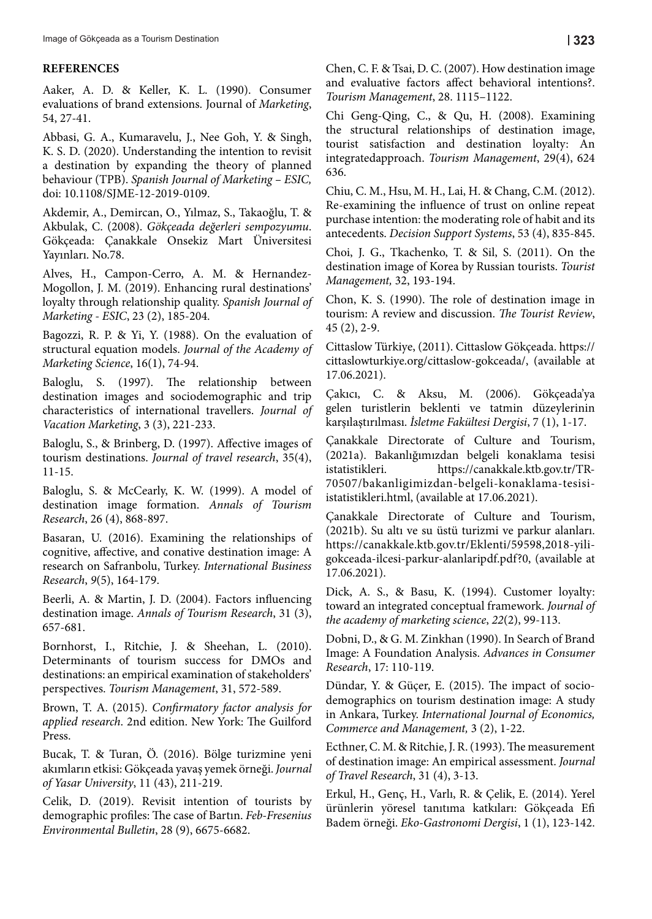#### **REFERENCES**

Aaker, A. D. & Keller, K. L. (1990). Consumer evaluations of brand extensions. Journal of *Marketing*, 54, 27-41.

Abbasi, G. A., Kumaravelu, J., Nee Goh, Y. & Singh, K. S. D. (2020). Understanding the intention to revisit a destination by expanding the theory of planned behaviour (TPB). *Spanish Journal of Marketing – ESIC,*  doi: 10.1108/SJME-12-2019-0109.

Akdemir, A., Demircan, O., Yılmaz, S., Takaoğlu, T. & Akbulak, C. (2008). *Gökçeada değerleri sempozyumu*. Gökçeada: Çanakkale Onsekiz Mart Üniversitesi Yayınları. No.78.

Alves, H., Campon-Cerro, A. M. & Hernandez-Mogollon, J. M. (2019). Enhancing rural destinations' loyalty through relationship quality. *Spanish Journal of Marketing - ESIC*, 23 (2), 185-204.

Bagozzi, R. P. & Yi, Y. (1988). On the evaluation of structural equation models. *Journal of the Academy of Marketing Science*, 16(1), 74-94.

Baloglu, S. (1997). The relationship between destination images and sociodemographic and trip characteristics of international travellers. *Journal of Vacation Marketing*, 3 (3), 221-233.

Baloglu, S., & Brinberg, D. (1997). Affective images of tourism destinations. *Journal of travel research*, 35(4), 11-15.

Baloglu, S. & McCearly, K. W. (1999). A model of destination image formation. *Annals of Tourism Research*, 26 (4), 868-897.

Basaran, U. (2016). Examining the relationships of cognitive, affective, and conative destination image: A research on Safranbolu, Turkey. *International Business Research*, *9*(5), 164-179.

Beerli, A. & Martin, J. D. (2004). Factors influencing destination image. *Annals of Tourism Research*, 31 (3), 657-681.

Bornhorst, I., Ritchie, J. & Sheehan, L. (2010). Determinants of tourism success for DMOs and destinations: an empirical examination of stakeholders' perspectives. *Tourism Management*, 31, 572-589.

Brown, T. A. (2015). *Confirmatory factor analysis for applied research*. 2nd edition. New York: The Guilford Press.

Bucak, T. & Turan, Ö. (2016). Bölge turizmine yeni akımların etkisi: Gökçeada yavaş yemek örneği. *Journal of Yasar University*, 11 (43), 211-219.

Celik, D. (2019). Revisit intention of tourists by demographic profiles: The case of Bartın. *Feb-Fresenius Environmental Bulletin*, 28 (9), 6675-6682.

Chen, C. F. & Tsai, D. C. (2007). How destination image and evaluative factors affect behavioral intentions?. *Tourism Management*, 28. 1115–1122.

Chi Geng-Qing, C., & Qu, H. (2008). Examining the structural relationships of destination image, tourist satisfaction and destination loyalty: An integratedapproach. *Tourism Management*, 29(4), 624 636.

Chiu, C. M., Hsu, M. H., Lai, H. & Chang, C.M. (2012). Re-examining the influence of trust on online repeat purchase intention: the moderating role of habit and its antecedents. *Decision Support Systems*, 53 (4), 835-845.

Choi, J. G., Tkachenko, T. & Sil, S. (2011). On the destination image of Korea by Russian tourists. *Tourist Management,* 32, 193-194.

Chon, K. S. (1990). The role of destination image in tourism: A review and discussion. *The Tourist Review*, 45 (2), 2-9.

Cittaslow Türkiye, (2011). Cittaslow Gökçeada. https:// cittaslowturkiye.org/cittaslow-gokceada/, (available at 17.06.2021).

Çakıcı, C. & Aksu, M. (2006). Gökçeada'ya gelen turistlerin beklenti ve tatmin düzeylerinin karşılaştırılması. *İsletme Fakültesi Dergisi*, 7 (1), 1-17.

Çanakkale Directorate of Culture and Tourism, (2021a). Bakanlığımızdan belgeli konaklama tesisi istatistikleri. https://canakkale.ktb.gov.tr/TR-70507/bakanligimizdan-belgeli-konaklama-tesisiistatistikleri.html, (available at 17.06.2021).

Çanakkale Directorate of Culture and Tourism, (2021b). Su altı ve su üstü turizmi ve parkur alanları. https://canakkale.ktb.gov.tr/Eklenti/59598,2018-yiligokceada-ilcesi-parkur-alanlaripdf.pdf?0, (available at 17.06.2021).

Dick, A. S., & Basu, K. (1994). Customer loyalty: toward an integrated conceptual framework. *Journal of the academy of marketing science*, *22*(2), 99-113.

Dobni, D., & G. M. Zinkhan (1990). In Search of Brand Image: A Foundation Analysis. *Advances in Consumer Research*, 17: 110-119.

Dündar, Y. & Güçer, E. (2015). The impact of sociodemographics on tourism destination image: A study in Ankara, Turkey. *International Journal of Economics, Commerce and Management,* 3 (2), 1-22.

Ecthner, C. M. & Ritchie, J. R. (1993). The measurement of destination image: An empirical assessment. *Journal of Travel Research*, 31 (4), 3-13.

Erkul, H., Genç, H., Varlı, R. & Çelik, E. (2014). Yerel ürünlerin yöresel tanıtıma katkıları: Gökçeada Efi Badem örneği. *Eko-Gastronomi Dergisi*, 1 (1), 123-142.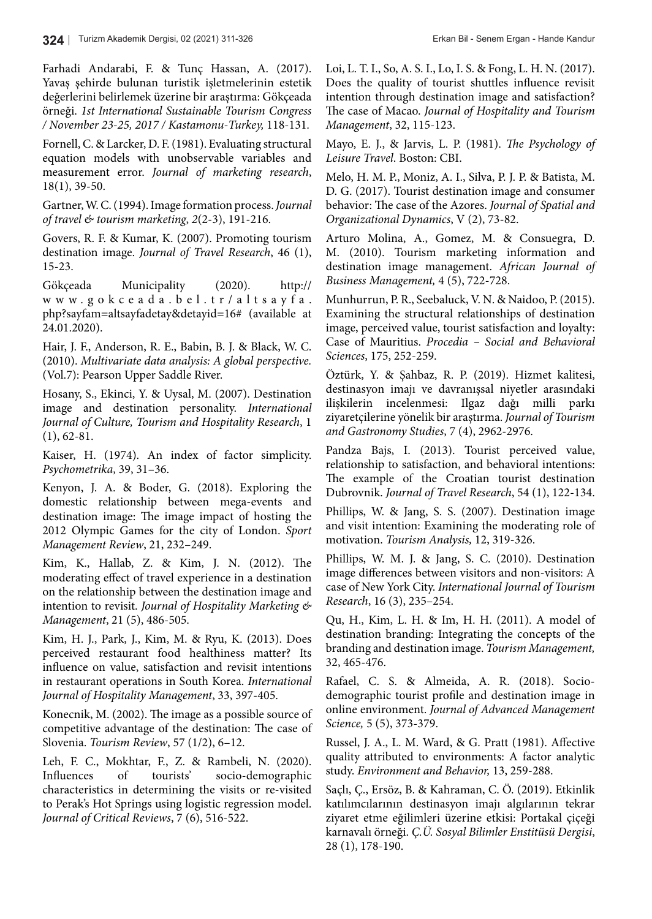Farhadi Andarabi, F. & Tunç Hassan, A. (2017). Yavaş şehirde bulunan turistik işletmelerinin estetik değerlerini belirlemek üzerine bir araştırma: Gökçeada örneği. *1st International Sustainable Tourism Congress / November 23-25, 2017 / Kastamonu-Turkey,* 118-131*.*

Fornell, C. & Larcker, D. F. (1981). Evaluating structural equation models with unobservable variables and measurement error. *Journal of marketing research*, 18(1), 39-50.

Gartner, W. C. (1994). Image formation process. *Journal of travel & tourism marketing*, *2*(2-3), 191-216.

Govers, R. F. & Kumar, K. (2007). Promoting tourism destination image. *Journal of Travel Research*, 46 (1), 15-23.

Gökçeada Municipality (2020). http:// www.gokceada.bel.tr/altsayfa. php?sayfam=altsayfadetay&detayid=16# (available at 24.01.2020).

Hair, J. F., Anderson, R. E., Babin, B. J. & Black, W. C. (2010). *Multivariate data analysis: A global perspective.* (Vol.7): Pearson Upper Saddle River.

Hosany, S., Ekinci, Y. & Uysal, M. (2007). Destination image and destination personality. *International Journal of Culture, Tourism and Hospitality Research*, 1 (1), 62-81.

Kaiser, H. (1974). An index of factor simplicity. *Psychometrika*, 39, 31–36.

Kenyon, J. A. & Boder, G. (2018). Exploring the domestic relationship between mega-events and destination image: The image impact of hosting the 2012 Olympic Games for the city of London. *Sport Management Review*, 21, 232–249.

Kim, K., Hallab, Z. & Kim, J. N. (2012). The moderating effect of travel experience in a destination on the relationship between the destination image and intention to revisit. *Journal of Hospitality Marketing & Management*, 21 (5), 486-505.

Kim, H. J., Park, J., Kim, M. & Ryu, K. (2013). Does perceived restaurant food healthiness matter? Its influence on value, satisfaction and revisit intentions in restaurant operations in South Korea. *International Journal of Hospitality Management*, 33, 397-405.

Konecnik, M. (2002). The image as a possible source of competitive advantage of the destination: The case of Slovenia. *Tourism Review*, 57 (1/2), 6–12.

Leh, F. C., Mokhtar, F., Z. & Rambeli, N. (2020). Influences of tourists' socio-demographic characteristics in determining the visits or re-visited to Perak's Hot Springs using logistic regression model. *Journal of Critical Reviews*, 7 (6), 516-522.

Loi, L. T. I., So, A. S. I., Lo, I. S. & Fong, L. H. N. (2017). Does the quality of tourist shuttles influence revisit intention through destination image and satisfaction? The case of Macao. *Journal of Hospitality and Tourism Management*, 32, 115-123.

Mayo, E. J., & Jarvis, L. P. (1981). *The Psychology of Leisure Travel*. Boston: CBI.

Melo, H. M. P., Moniz, A. I., Silva, P. J. P. & Batista, M. D. G. (2017). Tourist destination image and consumer behavior: The case of the Azores. *Journal of Spatial and Organizational Dynamics*, V (2), 73-82.

Arturo Molina, A., Gomez, M. & Consuegra, D. M. (2010). Tourism marketing information and destination image management. *African Journal of Business Management,* 4 (5), 722-728.

Munhurrun, P. R., Seebaluck, V. N. & Naidoo, P. (2015). Examining the structural relationships of destination image, perceived value, tourist satisfaction and loyalty: Case of Mauritius. *Procedia – Social and Behavioral Sciences*, 175, 252-259.

Öztürk, Y. & Şahbaz, R. P. (2019). Hizmet kalitesi, destinasyon imajı ve davranışsal niyetler arasındaki ilişkilerin incelenmesi: Ilgaz dağı milli parkı ziyaretçilerine yönelik bir araştırma. *Journal of Tourism and Gastronomy Studies*, 7 (4), 2962-2976.

Pandza Bajs, I. (2013). Tourist perceived value, relationship to satisfaction, and behavioral intentions: The example of the Croatian tourist destination Dubrovnik. *Journal of Travel Research*, 54 (1), 122-134.

Phillips, W. & Jang, S. S. (2007). Destination image and visit intention: Examining the moderating role of motivation. *Tourism Analysis,* 12, 319-326.

Phillips, W. M. J. & Jang, S. C. (2010). Destination image differences between visitors and non-visitors: A case of New York City. *International Journal of Tourism Research*, 16 (3), 235–254.

Qu, H., Kim, L. H. & Im, H. H. (2011). A model of destination branding: Integrating the concepts of the branding and destination image. *Tourism Management,* 32, 465-476.

Rafael, C. S. & Almeida, A. R. (2018). Sociodemographic tourist profile and destination image in online environment. *Journal of Advanced Management Science,* 5 (5), 373-379.

Russel, J. A., L. M. Ward, & G. Pratt (1981). Affective quality attributed to environments: A factor analytic study. *Environment and Behavior,* 13, 259-288.

Saçlı, Ç., Ersöz, B. & Kahraman, C. Ö. (2019). Etkinlik katılımcılarının destinasyon imajı algılarının tekrar ziyaret etme eğilimleri üzerine etkisi: Portakal çiçeği karnavalı örneği. *Ç.Ü. Sosyal Bilimler Enstitüsü Dergisi*, 28 (1), 178-190.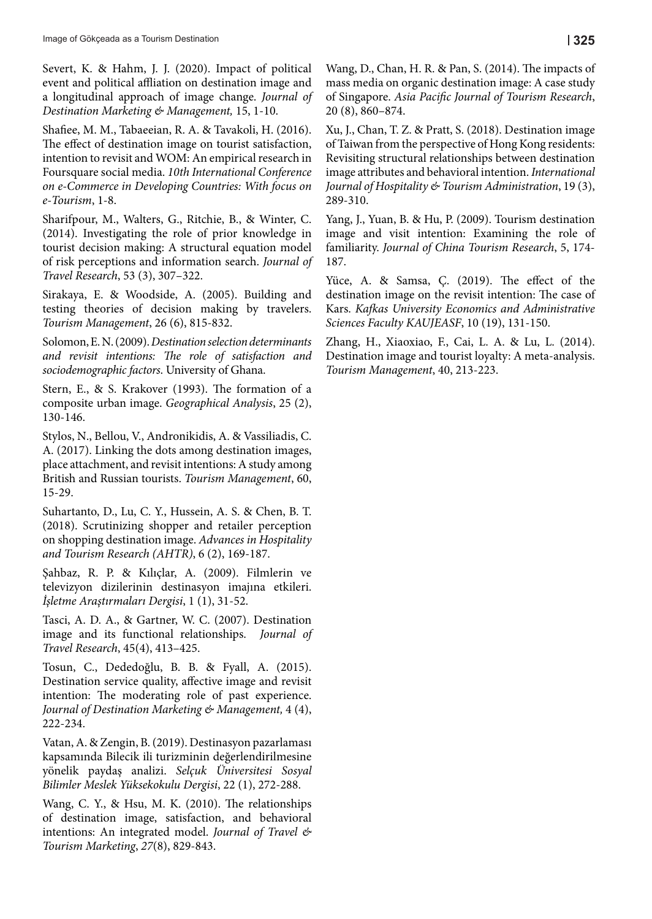Severt, K. & Hahm, J. J. (2020). Impact of political event and political affliation on destination image and a longitudinal approach of image change. *Journal of Destination Marketing & Management,* 15, 1-10.

Shafiee, M. M., Tabaeeian, R. A. & Tavakoli, H. (2016). The effect of destination image on tourist satisfaction, intention to revisit and WOM: An empirical research in Foursquare social media. *10th International Conference on e-Commerce in Developing Countries: With focus on e-Tourism*, 1-8.

Sharifpour, M., Walters, G., Ritchie, B., & Winter, C. (2014). Investigating the role of prior knowledge in tourist decision making: A structural equation model of risk perceptions and information search. *Journal of Travel Research*, 53 (3), 307–322.

Sirakaya, E. & Woodside, A. (2005). Building and testing theories of decision making by travelers. *Tourism Management*, 26 (6), 815-832.

Solomon, E. N. (2009). *Destination selection determinants and revisit intentions: The role of satisfaction and sociodemographic factors*. University of Ghana.

Stern, E., & S. Krakover (1993). The formation of a composite urban image. *Geographical Analysis*, 25 (2), 130-146.

Stylos, N., Bellou, V., Andronikidis, A. & Vassiliadis, C. A. (2017). Linking the dots among destination images, place attachment, and revisit intentions: A study among British and Russian tourists. *Tourism Management*, 60, 15-29.

Suhartanto, D., Lu, C. Y., Hussein, A. S. & Chen, B. T. (2018). Scrutinizing shopper and retailer perception on shopping destination image. *Advances in Hospitality and Tourism Research (AHTR)*, 6 (2), 169-187.

Şahbaz, R. P. & Kılıçlar, A. (2009). Filmlerin ve televizyon dizilerinin destinasyon imajına etkileri. *İşletme Araştırmaları Dergisi*, 1 (1), 31-52.

Tasci, A. D. A., & Gartner, W. C. (2007). Destination image and its functional relationships. *Journal of Travel Research*, 45(4), 413–425.

Tosun, C., Dededoğlu, B. B. & Fyall, A. (2015). Destination service quality, affective image and revisit intention: The moderating role of past experience. *Journal of Destination Marketing & Management,* 4 (4), 222-234.

Vatan, A. & Zengin, B. (2019). Destinasyon pazarlaması kapsamında Bilecik ili turizminin değerlendirilmesine yönelik paydaş analizi. *Selçuk Üniversitesi Sosyal Bilimler Meslek Yüksekokulu Dergisi*, 22 (1), 272-288.

Wang, C. Y., & Hsu, M. K. (2010). The relationships of destination image, satisfaction, and behavioral intentions: An integrated model. *Journal of Travel & Tourism Marketing*, *27*(8), 829-843.

Wang, D., Chan, H. R. & Pan, S. (2014). The impacts of mass media on organic destination image: A case study of Singapore. *Asia Pacific Journal of Tourism Research*, 20 (8), 860–874.

Xu, J., Chan, T. Z. & Pratt, S. (2018). Destination image of Taiwan from the perspective of Hong Kong residents: Revisiting structural relationships between destination image attributes and behavioral intention. *International Journal of Hospitality & Tourism Administration*, 19 (3), 289-310.

Yang, J., Yuan, B. & Hu, P. (2009). Tourism destination image and visit intention: Examining the role of familiarity. *Journal of China Tourism Research*, 5, 174- 187.

Yüce, A. & Samsa, Ç. (2019). The effect of the destination image on the revisit intention: The case of Kars. *Kafkas University Economics and Administrative Sciences Faculty KAUJEASF*, 10 (19), 131-150.

Zhang, H., Xiaoxiao, F., Cai, L. A. & Lu, L. (2014). Destination image and tourist loyalty: A meta-analysis. *Tourism Management*, 40, 213-223.